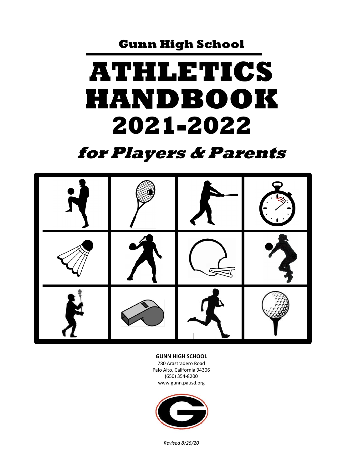**Gunn High School**

# **ATHLETICS HANDBOOK 2021-2022**

# **for Players & Parents**



#### **GUNN HIGH SCHOOL**

780 Arastradero Road Palo Alto, California 94306 (650) 354-8200 www.gunn.pausd.org



*Revised 8/25/20*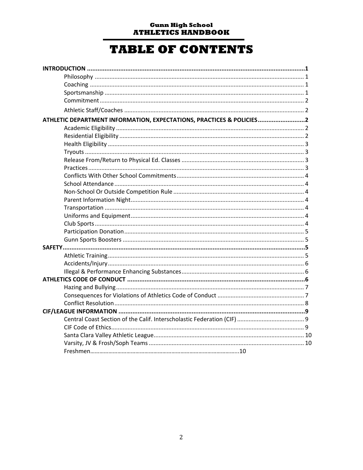#### **Gunn High School ATHLETICS HANDBOOK**

## **TABLE OF CONTENTS**

| ATHLETIC DEPARTMENT INFORMATION, EXPECTATIONS, PRACTICES & POLICIES2 |  |
|----------------------------------------------------------------------|--|
|                                                                      |  |
|                                                                      |  |
|                                                                      |  |
|                                                                      |  |
|                                                                      |  |
|                                                                      |  |
|                                                                      |  |
|                                                                      |  |
|                                                                      |  |
|                                                                      |  |
|                                                                      |  |
|                                                                      |  |
|                                                                      |  |
|                                                                      |  |
|                                                                      |  |
|                                                                      |  |
|                                                                      |  |
|                                                                      |  |
|                                                                      |  |
|                                                                      |  |
|                                                                      |  |
|                                                                      |  |
|                                                                      |  |
|                                                                      |  |
|                                                                      |  |
|                                                                      |  |
|                                                                      |  |
|                                                                      |  |
|                                                                      |  |
|                                                                      |  |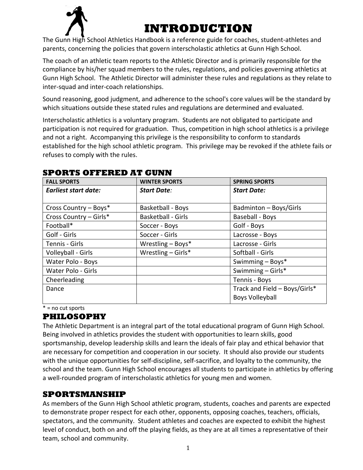

# **INTRODUCTION**

The Gunn High School Athletics Handbook is a reference guide for coaches, student-athletes and parents, concerning the policies that govern interscholastic athletics at Gunn High School.

The coach of an athletic team reports to the Athletic Director and is primarily responsible for the compliance by his/her squad members to the rules, regulations, and policies governing athletics at Gunn High School. The Athletic Director will administer these rules and regulations as they relate to inter-squad and inter-coach relationships.

Sound reasoning, good judgment, and adherence to the school's core values will be the standard by which situations outside these stated rules and regulations are determined and evaluated.

Interscholastic athletics is a voluntary program. Students are not obligated to participate and participation is not required for graduation. Thus, competition in high school athletics is a privilege and not a right. Accompanying this privilege is the responsibility to conform to standards established for the high school athletic program. This privilege may be revoked if the athlete fails or refuses to comply with the rules.

| <b>FALL SPORTS</b>          | <b>WINTER SPORTS</b>      | <b>SPRING SPORTS</b>          |
|-----------------------------|---------------------------|-------------------------------|
| <b>Earliest start date:</b> | <b>Start Date:</b>        | <b>Start Date:</b>            |
|                             |                           |                               |
| Cross Country - Boys*       | Basketball - Boys         | Badminton - Boys/Girls        |
| Cross Country - Girls*      | <b>Basketball - Girls</b> | Baseball - Boys               |
| Football*                   | Soccer - Boys             | Golf - Boys                   |
| Golf - Girls                | Soccer - Girls            | Lacrosse - Boys               |
| Tennis - Girls              | Wrestling $-$ Boys*       | Lacrosse - Girls              |
| Volleyball - Girls          | Wrestling $-$ Girls*      | Softball - Girls              |
| Water Polo - Boys           |                           | Swimming - Boys*              |
| Water Polo - Girls          |                           | Swimming $-$ Girls*           |
| Cheerleading                |                           | Tennis - Boys                 |
| Dance                       |                           | Track and Field - Boys/Girls* |
|                             |                           | <b>Boys Volleyball</b>        |

#### **SPORTS OFFERED AT GUNN**

\* = no cut sports

#### **PHILOSOPHY**

The Athletic Department is an integral part of the total educational program of Gunn High School. Being involved in athletics provides the student with opportunities to learn skills, good sportsmanship, develop leadership skills and learn the ideals of fair play and ethical behavior that are necessary for competition and cooperation in our society. It should also provide our students with the unique opportunities for self-discipline, self-sacrifice, and loyalty to the community, the school and the team. Gunn High School encourages all students to participate in athletics by offering a well-rounded program of interscholastic athletics for young men and women.

#### **SPORTSMANSHIP**

As members of the Gunn High School athletic program, students, coaches and parents are expected to demonstrate proper respect for each other, opponents, opposing coaches, teachers, officials, spectators, and the community. Student athletes and coaches are expected to exhibit the highest level of conduct, both on and off the playing fields, as they are at all times a representative of their team, school and community.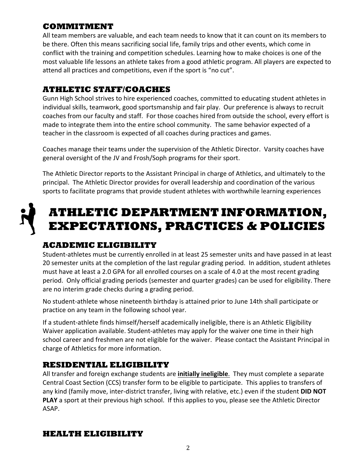#### **COMMITMENT**

All team members are valuable, and each team needs to know that it can count on its members to be there. Often this means sacrificing social life, family trips and other events, which come in conflict with the training and competition schedules. Learning how to make choices is one of the most valuable life lessons an athlete takes from a good athletic program. All players are expected to attend all practices and competitions, even if the sport is "no cut".

#### **ATHLETIC STAFF/COACHES**

Gunn High School strives to hire experienced coaches, committed to educating student athletes in individual skills, teamwork, good sportsmanship and fair play. Our preference is always to recruit coaches from our faculty and staff. For those coaches hired from outside the school, every effort is made to integrate them into the entire school community. The same behavior expected of a teacher in the classroom is expected of all coaches during practices and games.

Coaches manage their teams under the supervision of the Athletic Director. Varsity coaches have general oversight of the JV and Frosh/Soph programs for their sport.

The Athletic Director reports to the Assistant Principal in charge of Athletics, and ultimately to the principal. The Athletic Director provides for overall leadership and coordination of the various sports to facilitate programs that provide student athletes with worthwhile learning experiences

# **ATHLETIC DEPARTMENT INFORMATION, EXPECTATIONS, PRACTICES & POLICIES**

#### **ACADEMIC ELIGIBILITY**

Student-athletes must be currently enrolled in at least 25 semester units and have passed in at least 20 semester units at the completion of the last regular grading period. In addition, student athletes must have at least a 2.0 GPA for all enrolled courses on a scale of 4.0 at the most recent grading period. Only official grading periods (semester and quarter grades) can be used for eligibility. There are no interim grade checks during a grading period.

No student-athlete whose nineteenth birthday is attained prior to June 14th shall participate or practice on any team in the following school year.

If a student-athlete finds himself/herself academically ineligible, there is an Athletic Eligibility Waiver application available. Student-athletes may apply for the waiver one time in their high school career and freshmen are not eligible for the waiver. Please contact the Assistant Principal in charge of Athletics for more information.

#### **RESIDENTIAL ELIGIBILITY**

All transfer and foreign exchange students are **initially ineligible**. They must complete a separate Central Coast Section (CCS) transfer form to be eligible to participate. This applies to transfers of any kind (family move, inter-district transfer, living with relative, etc.) even if the student **DID NOT PLAY** a sport at their previous high school. If this applies to you, please see the Athletic Director ASAP.

#### **HEALTH ELIGIBILITY**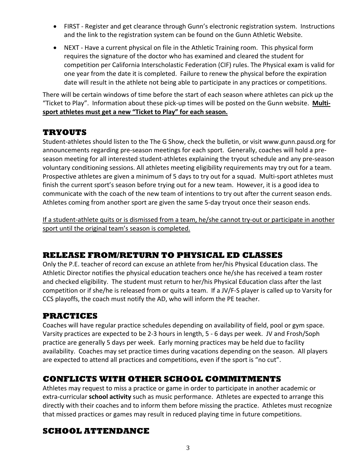- FIRST Register and get clearance through Gunn's electronic registration system. Instructions and the link to the registration system can be found on the Gunn Athletic Website.
- NEXT Have a current physical on file in the Athletic Training room. This physical form requires the signature of the doctor who has examined and cleared the student for competition per California Interscholastic Federation (CIF) rules. The Physical exam is valid for one year from the date it is completed. Failure to renew the physical before the expiration date will result in the athlete not being able to participate in any practices or competitions.

There will be certain windows of time before the start of each season where athletes can pick up the "Ticket to Play". Information about these pick-up times will be posted on the Gunn website. **Multisport athletes must get a new "Ticket to Play" for each season.**

#### **TRYOUTS**

Student-athletes should listen to the The G Show, check the bulletin, or visit www.gunn.pausd.org for announcements regarding pre-season meetings for each sport. Generally, coaches will hold a preseason meeting for all interested student-athletes explaining the tryout schedule and any pre-season voluntary conditioning sessions. All athletes meeting eligibility requirements may try out for a team. Prospective athletes are given a minimum of 5 days to try out for a squad. Multi-sport athletes must finish the current sport's season before trying out for a new team. However, it is a good idea to communicate with the coach of the new team of intentions to try out after the current season ends. Athletes coming from another sport are given the same 5-day tryout once their season ends.

If a student-athlete quits or is dismissed from a team, he/she cannot try-out or participate in another sport until the original team's season is completed.

#### **RELEASE FROM/RETURN TO PHYSICAL ED CLASSES**

Only the P.E. teacher of record can excuse an athlete from her/his Physical Education class. The Athletic Director notifies the physical education teachers once he/she has received a team roster and checked eligibility. The student must return to her/his Physical Education class after the last competition or if she/he is released from or quits a team. If a JV/F-S player is called up to Varsity for CCS playoffs, the coach must notify the AD, who will inform the PE teacher.

#### **PRACTICES**

Coaches will have regular practice schedules depending on availability of field, pool or gym space. Varsity practices are expected to be 2-3 hours in length, 5 - 6 days per week. JV and Frosh/Soph practice are generally 5 days per week. Early morning practices may be held due to facility availability. Coaches may set practice times during vacations depending on the season. All players are expected to attend all practices and competitions, even if the sport is "no cut".

#### **CONFLICTS WITH OTHER SCHOOL COMMITMENTS**

Athletes may request to miss a practice or game in order to participate in another academic or extra-curricular **school activity** such as music performance. Athletes are expected to arrange this directly with their coaches and to inform them before missing the practice. Athletes must recognize that missed practices or games may result in reduced playing time in future competitions.

#### **SCHOOL ATTENDANCE**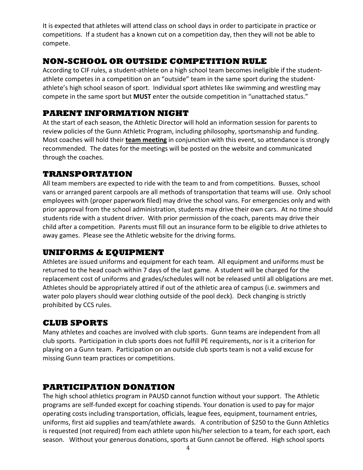It is expected that athletes will attend class on school days in order to participate in practice or competitions. If a student has a known cut on a competition day, then they will not be able to compete.

#### **NON-SCHOOL OR OUTSIDE COMPETITION RULE**

According to CIF rules, a student-athlete on a high school team becomes ineligible if the studentathlete competes in a competition on an "outside" team in the same sport during the studentathlete's high school season of sport. Individual sport athletes like swimming and wrestling may compete in the same sport but **MUST** enter the outside competition in "unattached status."

#### **PARENT INFORMATION NIGHT**

At the start of each season, the Athletic Director will hold an information session for parents to review policies of the Gunn Athletic Program, including philosophy, sportsmanship and funding. Most coaches will hold their **team meeting** in conjunction with this event, so attendance is strongly recommended. The dates for the meetings will be posted on the website and communicated through the coaches.

#### **TRANSPORTATION**

All team members are expected to ride with the team to and from competitions. Busses, school vans or arranged parent carpools are all methods of transportation that teams will use. Only school employees with (proper paperwork filed) may drive the school vans. For emergencies only and with prior approval from the school administration, students may drive their own cars. At no time should students ride with a student driver. With prior permission of the coach, parents may drive their child after a competition. Parents must fill out an insurance form to be eligible to drive athletes to away games. Please see the Athletic website for the driving forms.

#### **UNIFORMS & EQUIPMENT**

Athletes are issued uniforms and equipment for each team. All equipment and uniforms must be returned to the head coach within 7 days of the last game. A student will be charged for the replacement cost of uniforms and grades/schedules will not be released until all obligations are met. Athletes should be appropriately attired if out of the athletic area of campus (i.e. swimmers and water polo players should wear clothing outside of the pool deck). Deck changing is strictly prohibited by CCS rules.

#### **CLUB SPORTS**

Many athletes and coaches are involved with club sports. Gunn teams are independent from all club sports. Participation in club sports does not fulfill PE requirements, nor is it a criterion for playing on a Gunn team. Participation on an outside club sports team is not a valid excuse for missing Gunn team practices or competitions.

#### **PARTICIPATION DONATION**

The high school athletics program in PAUSD cannot function without your support. The Athletic programs are self-funded except for coaching stipends. Your donation is used to pay for major operating costs including transportation, officials, league fees, equipment, tournament entries, uniforms, first aid supplies and team/athlete awards. A contribution of \$250 to the Gunn Athletics is requested (not required) from each athlete upon his/her selection to a team, for each sport, each season. Without your generous donations, sports at Gunn cannot be offered. High school sports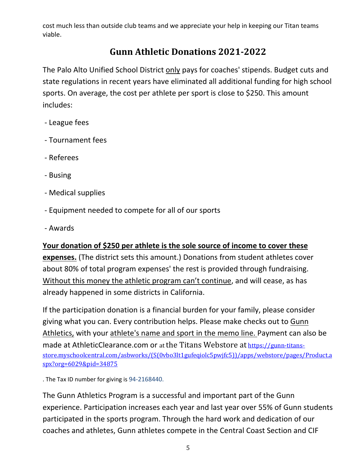cost much less than outside club teams and we appreciate your help in keeping our Titan teams viable.

### **Gunn Athletic Donations 2021-2022**

The Palo Alto Unified School District only pays for coaches' stipends. Budget cuts and state regulations in recent years have eliminated all additional funding for high school sports. On average, the cost per athlete per sport is close to \$250. This amount includes:

- League fees
- Tournament fees
- Referees
- Busing
- Medical supplies
- Equipment needed to compete for all of our sports
- Awards

#### **Your donation of \$250 per athlete is the sole source of income to cover these**

**expenses.** (The district sets this amount.) Donations from student athletes cover about 80% of total program expenses' the rest is provided through fundraising. Without this money the athletic program can't continue, and will cease, as has already happened in some districts in California.

If the participation donation is a financial burden for your family, please consider giving what you can. Every contribution helps. Please make checks out to Gunn Athletics, with your athlete's name and sport in the memo line. Payment can also be made at AthleticClearance.com or at the Titans Webstore at [https://gunn-titans](https://gunn-titans-store.myschoolcentral.com/asbworks/(S(0vbo3lt1gufeqiolc5pwjfc5))/apps/webstore/pages/Product.aspx?org=6029&pid=34875)[store.myschoolcentral.com/asbworks/\(S\(0vbo3lt1gufeqiolc5pwjfc5\)\)/apps/webstore/pages/Product.a](https://gunn-titans-store.myschoolcentral.com/asbworks/(S(0vbo3lt1gufeqiolc5pwjfc5))/apps/webstore/pages/Product.aspx?org=6029&pid=34875) [spx?org=6029&pid=34875](https://gunn-titans-store.myschoolcentral.com/asbworks/(S(0vbo3lt1gufeqiolc5pwjfc5))/apps/webstore/pages/Product.aspx?org=6029&pid=34875)

. The Tax ID number for giving is 94-2168440.

The Gunn Athletics Program is a successful and important part of the Gunn experience. Participation increases each year and last year over 55% of Gunn students participated in the sports program. Through the hard work and dedication of our coaches and athletes, Gunn athletes compete in the Central Coast Section and CIF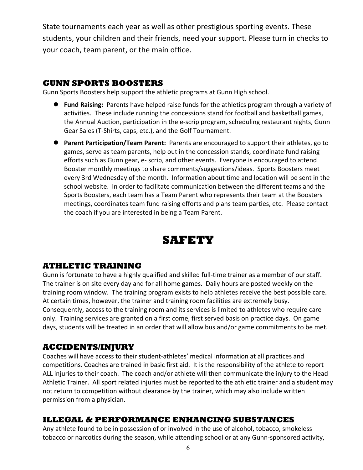State tournaments each year as well as other prestigious sporting events. These students, your children and their friends, need your support. Please turn in checks to your coach, team parent, or the main office.

#### **GUNN SPORTS BOOSTERS**

Gunn Sports Boosters help support the athletic programs at Gunn High school.

- **Fund Raising:** Parents have helped raise funds for the athletics program through a variety of activities. These include running the concessions stand for football and basketball games, the Annual Auction, participation in the e-scrip program, scheduling restaurant nights, Gunn Gear Sales (T-Shirts, caps, etc.), and the Golf Tournament.
- **Parent Participation/Team Parent:** Parents are encouraged to support their athletes, go to games, serve as team parents, help out in the concession stands, coordinate fund raising efforts such as Gunn gear, e- scrip, and other events. Everyone is encouraged to attend Booster monthly meetings to share comments/suggestions/ideas. Sports Boosters meet every 3rd Wednesday of the month. Information about time and location will be sent in the school website. In order to facilitate communication between the different teams and the Sports Boosters, each team has a Team Parent who represents their team at the Boosters meetings, coordinates team fund raising efforts and plans team parties, etc. Please contact the coach if you are interested in being a Team Parent.



#### **ATHLETIC TRAINING**

Gunn is fortunate to have a highly qualified and skilled full-time trainer as a member of our staff. The trainer is on site every day and for all home games. Daily hours are posted weekly on the training room window. The training program exists to help athletes receive the best possible care. At certain times, however, the trainer and training room facilities are extremely busy. Consequently, access to the training room and its services is limited to athletes who require care only. Training services are granted on a first come, first served basis on practice days. On game days, students will be treated in an order that will allow bus and/or game commitments to be met.

#### **ACCIDENTS/INJURY**

Coaches will have access to their student-athletes' medical information at all practices and competitions. Coaches are trained in basic first aid. It is the responsibility of the athlete to report ALL injuries to their coach. The coach and/or athlete will then communicate the injury to the Head Athletic Trainer. All sport related injuries must be reported to the athletic trainer and a student may not return to competition without clearance by the trainer, which may also include written permission from a physician.

#### **ILLEGAL & PERFORMANCE ENHANCING SUBSTANCES**

Any athlete found to be in possession of or involved in the use of alcohol, tobacco, smokeless tobacco or narcotics during the season, while attending school or at any Gunn-sponsored activity,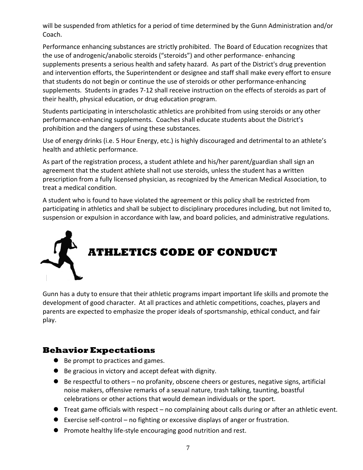will be suspended from athletics for a period of time determined by the Gunn Administration and/or Coach.

Performance enhancing substances are strictly prohibited. The Board of Education recognizes that the use of androgenic/anabolic steroids ("steroids") and other performance- enhancing supplements presents a serious health and safety hazard. As part of the District's drug prevention and intervention efforts, the Superintendent or designee and staff shall make every effort to ensure that students do not begin or continue the use of steroids or other performance-enhancing supplements. Students in grades 7-12 shall receive instruction on the effects of steroids as part of their health, physical education, or drug education program.

Students participating in interscholastic athletics are prohibited from using steroids or any other performance-enhancing supplements. Coaches shall educate students about the District's prohibition and the dangers of using these substances.

Use of energy drinks (i.e. 5 Hour Energy, etc.) is highly discouraged and detrimental to an athlete's health and athletic performance.

As part of the registration process, a student athlete and his/her parent/guardian shall sign an agreement that the student athlete shall not use steroids, unless the student has a written prescription from a fully licensed physician, as recognized by the American Medical Association, to treat a medical condition.

A student who is found to have violated the agreement or this policy shall be restricted from participating in athletics and shall be subject to disciplinary procedures including, but not limited to, suspension or expulsion in accordance with law, and board policies, and administrative regulations.



Gunn has a duty to ensure that their athletic programs impart important life skills and promote the development of good character. At all practices and athletic competitions, coaches, players and parents are expected to emphasize the proper ideals of sportsmanship, ethical conduct, and fair play.

#### **Behavior Expectations**

- Be prompt to practices and games.
- Be gracious in victory and accept defeat with dignity.
- Be respectful to others no profanity, obscene cheers or gestures, negative signs, artificial noise makers, offensive remarks of a sexual nature, trash talking, taunting, boastful celebrations or other actions that would demean individuals or the sport.
- Treat game officials with respect no complaining about calls during or after an athletic event.
- Exercise self-control no fighting or excessive displays of anger or frustration.
- **•** Promote healthy life-style encouraging good nutrition and rest.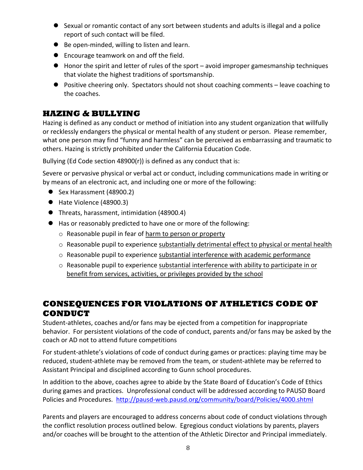- Sexual or romantic contact of any sort between students and adults is illegal and a police report of such contact will be filed.
- Be open-minded, willing to listen and learn.
- **•** Encourage teamwork on and off the field.
- Honor the spirit and letter of rules of the sport avoid improper gamesmanship techniques that violate the highest traditions of sportsmanship.
- Positive cheering only. Spectators should not shout coaching comments leave coaching to the coaches.

#### **HAZING & BULLYING**

Hazing is defined as any conduct or method of initiation into any student organization that willfully or recklessly endangers the physical or mental health of any student or person. Please remember, what one person may find "funny and harmless" can be perceived as embarrassing and traumatic to others. Hazing is strictly prohibited under the California Education Code.

Bullying (Ed Code section 48900(r)) is defined as any conduct that is:

Severe or pervasive physical or verbal act or conduct, including communications made in writing or by means of an electronic act, and including one or more of the following:

- Sex Harassment (48900.2)
- Hate Violence (48900.3)
- Threats, harassment, intimidation (48900.4)
- Has or reasonably predicted to have one or more of the following:
	- o Reasonable pupil in fear of harm to person or property
	- o Reasonable pupil to experience substantially detrimental effect to physical or mental health
	- $\circ$  Reasonable pupil to experience substantial interference with academic performance
	- $\circ$  Reasonable pupil to experience substantial interference with ability to participate in or benefit from services, activities, or privileges provided by the school

#### **CONSEQUENCES FOR VIOLATIONS OF ATHLETICS CODE OF CONDUCT**

Student-athletes, coaches and/or fans may be ejected from a competition for inappropriate behavior. For persistent violations of the code of conduct, parents and/or fans may be asked by the coach or AD not to attend future competitions

For student-athlete's violations of code of conduct during games or practices: playing time may be reduced, student-athlete may be removed from the team, or student-athlete may be referred to Assistant Principal and disciplined according to Gunn school procedures.

In addition to the above, coaches agree to abide by the State Board of Education's Code of Ethics during games and practices. Unprofessional conduct will be addressed according to PAUSD Board Policies and Procedures. <http://pausd-web.pausd.org/community/board/Policies/4000.shtml>

Parents and players are encouraged to address concerns about code of conduct violations through the conflict resolution process outlined below. Egregious conduct violations by parents, players and/or coaches will be brought to the attention of the Athletic Director and Principal immediately.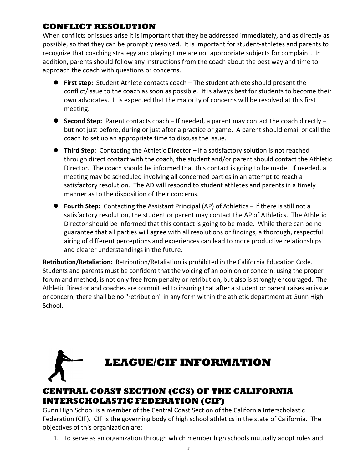#### **CONFLICT RESOLUTION**

When conflicts or issues arise it is important that they be addressed immediately, and as directly as possible, so that they can be promptly resolved. It is important for student-athletes and parents to recognize that coaching strategy and playing time are not appropriate subjects for complaint. In addition, parents should follow any instructions from the coach about the best way and time to approach the coach with questions or concerns.

- **First step:** Student Athlete contacts coach The student athlete should present the conflict/issue to the coach as soon as possible. It is always best for students to become their own advocates. It is expected that the majority of concerns will be resolved at this first meeting.
- **Second Step:** Parent contacts coach If needed, a parent may contact the coach directly but not just before, during or just after a practice or game. A parent should email or call the coach to set up an appropriate time to discuss the issue.
- **Third Step:** Contacting the Athletic Director If a satisfactory solution is not reached through direct contact with the coach, the student and/or parent should contact the Athletic Director. The coach should be informed that this contact is going to be made. If needed, a meeting may be scheduled involving all concerned parties in an attempt to reach a satisfactory resolution. The AD will respond to student athletes and parents in a timely manner as to the disposition of their concerns.
- **Fourth Step:** Contacting the Assistant Principal (AP) of Athletics If there is still not a satisfactory resolution, the student or parent may contact the AP of Athletics. The Athletic Director should be informed that this contact is going to be made. While there can be no guarantee that all parties will agree with all resolutions or findings, a thorough, respectful airing of different perceptions and experiences can lead to more productive relationships and clearer understandings in the future.

**Retribution/Retaliation:** Retribution/Retaliation is prohibited in the California Education Code. Students and parents must be confident that the voicing of an opinion or concern, using the proper forum and method, is not only free from penalty or retribution, but also is strongly encouraged. The Athletic Director and coaches are committed to insuring that after a student or parent raises an issue or concern, there shall be no "retribution" in any form within the athletic department at Gunn High School.

# **LEAGUE/CIF INFORMATION**

#### **CENTRAL COAST SECTION (CCS) OF THE CALIFORNIA INTERSCHOLASTIC FEDERATION (CIF)**

Gunn High School is a member of the Central Coast Section of the California Interscholastic Federation (CIF). CIF is the governing body of high school athletics in the state of California. The objectives of this organization are:

1. To serve as an organization through which member high schools mutually adopt rules and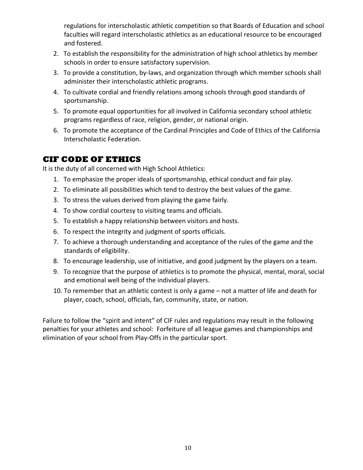regulations for interscholastic athletic competition so that Boards of Education and school faculties will regard interscholastic athletics as an educational resource to be encouraged and fostered.

- 2. To establish the responsibility for the administration of high school athletics by member schools in order to ensure satisfactory supervision.
- 3. To provide a constitution, by-laws, and organization through which member schools shall administer their interscholastic athletic programs.
- 4. To cultivate cordial and friendly relations among schools through good standards of sportsmanship.
- 5. To promote equal opportunities for all involved in California secondary school athletic programs regardless of race, religion, gender, or national origin.
- 6. To promote the acceptance of the Cardinal Principles and Code of Ethics of the California Interscholastic Federation.

#### **CIF CODE OF ETHICS**

It is the duty of all concerned with High School Athletics:

- 1. To emphasize the proper ideals of sportsmanship, ethical conduct and fair play.
- 2. To eliminate all possibilities which tend to destroy the best values of the game.
- 3. To stress the values derived from playing the game fairly.
- 4. To show cordial courtesy to visiting teams and officials.
- 5. To establish a happy relationship between visitors and hosts.
- 6. To respect the integrity and judgment of sports officials.
- 7. To achieve a thorough understanding and acceptance of the rules of the game and the standards of eligibility.
- 8. To encourage leadership, use of initiative, and good judgment by the players on a team.
- 9. To recognize that the purpose of athletics is to promote the physical, mental, moral, social and emotional well being of the individual players.
- 10. To remember that an athletic contest is only a game not a matter of life and death for player, coach, school, officials, fan, community, state, or nation.

Failure to follow the "spirit and intent" of CIF rules and regulations may result in the following penalties for your athletes and school: Forfeiture of all league games and championships and elimination of your school from Play-Offs in the particular sport.